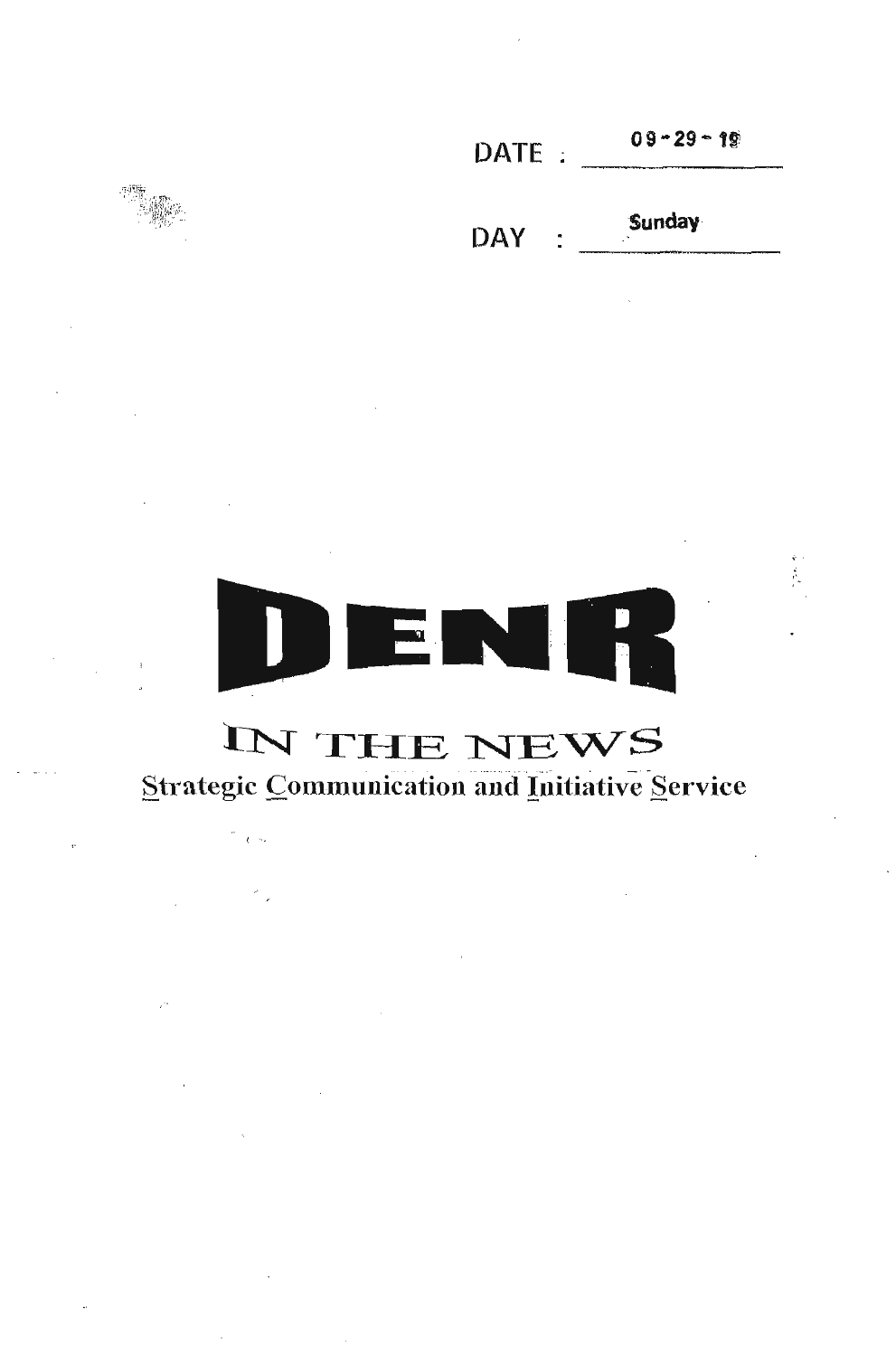$09 - 29 - 19$ DATE: Sunday **DAY** 



## IN THE NEWS

## Strategic Communication and Initiative Service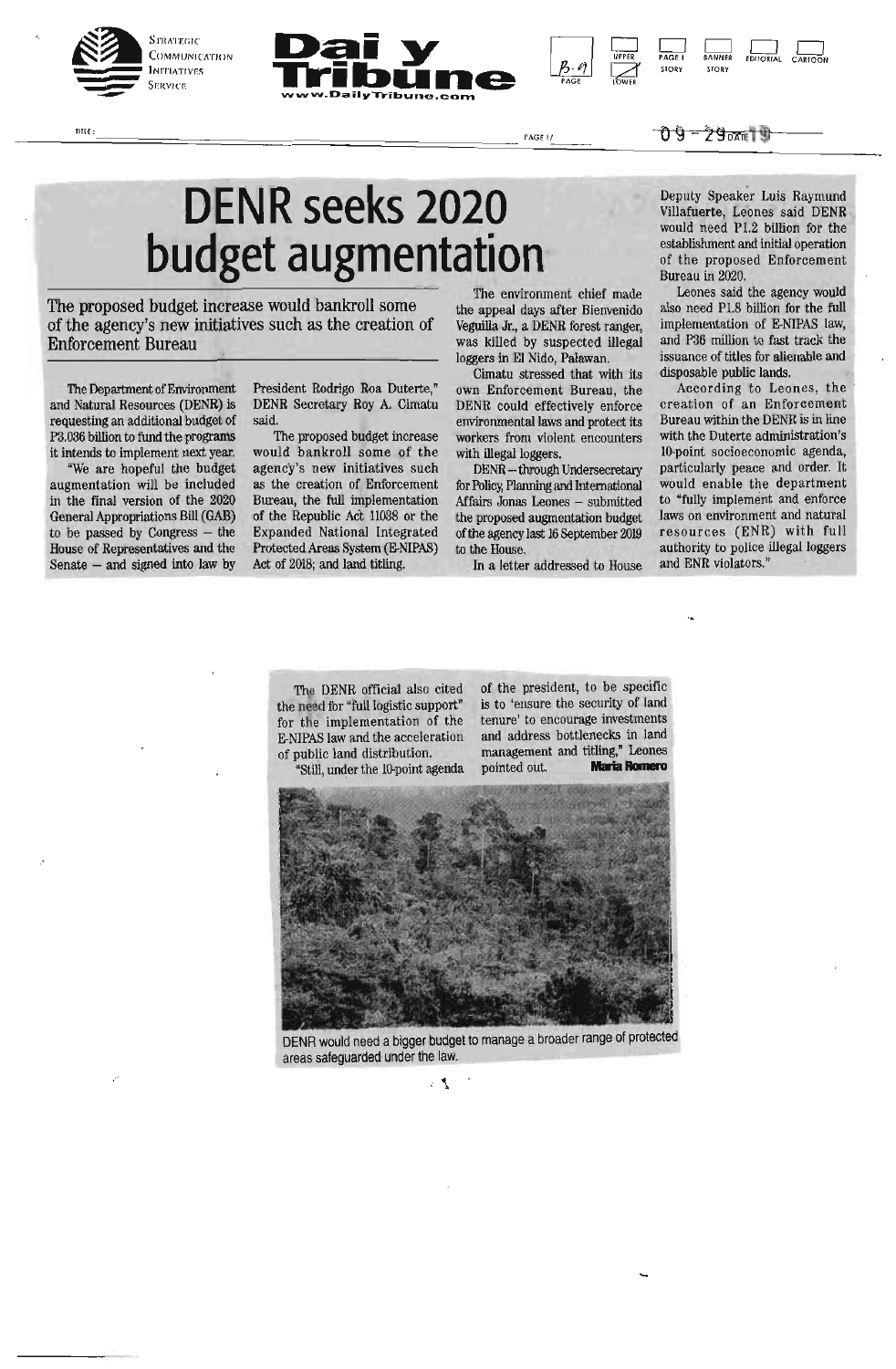

 $IIII(E)$ 





UPPER PAGE I BANNER EDITORIAL CARTOON STORY STORY

## **DENR seeks 2020 budget augmentation**

The proposed budget increase would bankroll some of the agency's new initiatives such as the creation of Enforcement Bureau

The Department of Environment and Natural Resources (DENR) is requesting an additional budget of P3.036 billion to fund the programs it intends to implement next year.

"We are hopeful the budget augmentation will be included in the final version of the 2020 General Appropriations Bill (GAB) to be passed by Congress — the House of Representatives and the Senate — and signed into law by

President Rodrigo Boa Duterte," DENR Secretary Roy A. Cimatu said.

The proposed budget increase would bankroll some of the agency's new initiatives such as the creation of Enforcement Bureau, the full implementation of the Republic Act 11038 or the Expanded National Integrated Protected Areas System (E-NIPAS) Act of 2018; and land titling.

The environment chief made the appeal days after Bienvenido Veguilla Jr., a DENR forest ranger, was killed by suspected illegal loggers in El Nido, Palawan.

PAGE LOWER

Cimatu stressed that with its own Enforcement Bureau, the DENR could effectively enforce environmental laws and protect its workers from violent encounters with illegal loggers.

DENR —through Undersecretary for Policy, Planning and International Affairs Jonas Leones — submitted the proposed augmentation budget of the agency last 16 September 2019 to the House.

In a letter addressed to House

Deputy Speaker Luis Raymund Villafuerte, Leones said DENR would need PI.2 billion for the establishment and initial operation of the proposed Enforcement Bureau in 2020.

Leones said the agency would also need P1.8 billion for the full implementation of E-NIPAS law, and P36 million to fast track the issuance of titles for alienable and disposable public lands.

According to Leones, the creation of an Enforcement Bureau within the DENR is in line with the Duterte administration's 10-point socioeconomic agenda, particularly peace and order. It would enable the department to "fully implement and enforce laws on environment and natural resources (ENR) with full authority to police illegal loggers and ENR violators."

The DENR official also cited the need for "full logistic support" for the implementation of the E-NIPAS law and the acceleration of public land distribution.

"Still, under the 10-point agenda

of the president, to be specific is to 'ensure the security of land tenure' to encourage investments and address bottlenecks in land management and titling," Leones pointed out. **Maria Romero** 



DENR would need a bigger budget to manage a broader range of protected areas safeguarded under the law.

 $\mathcal{F}$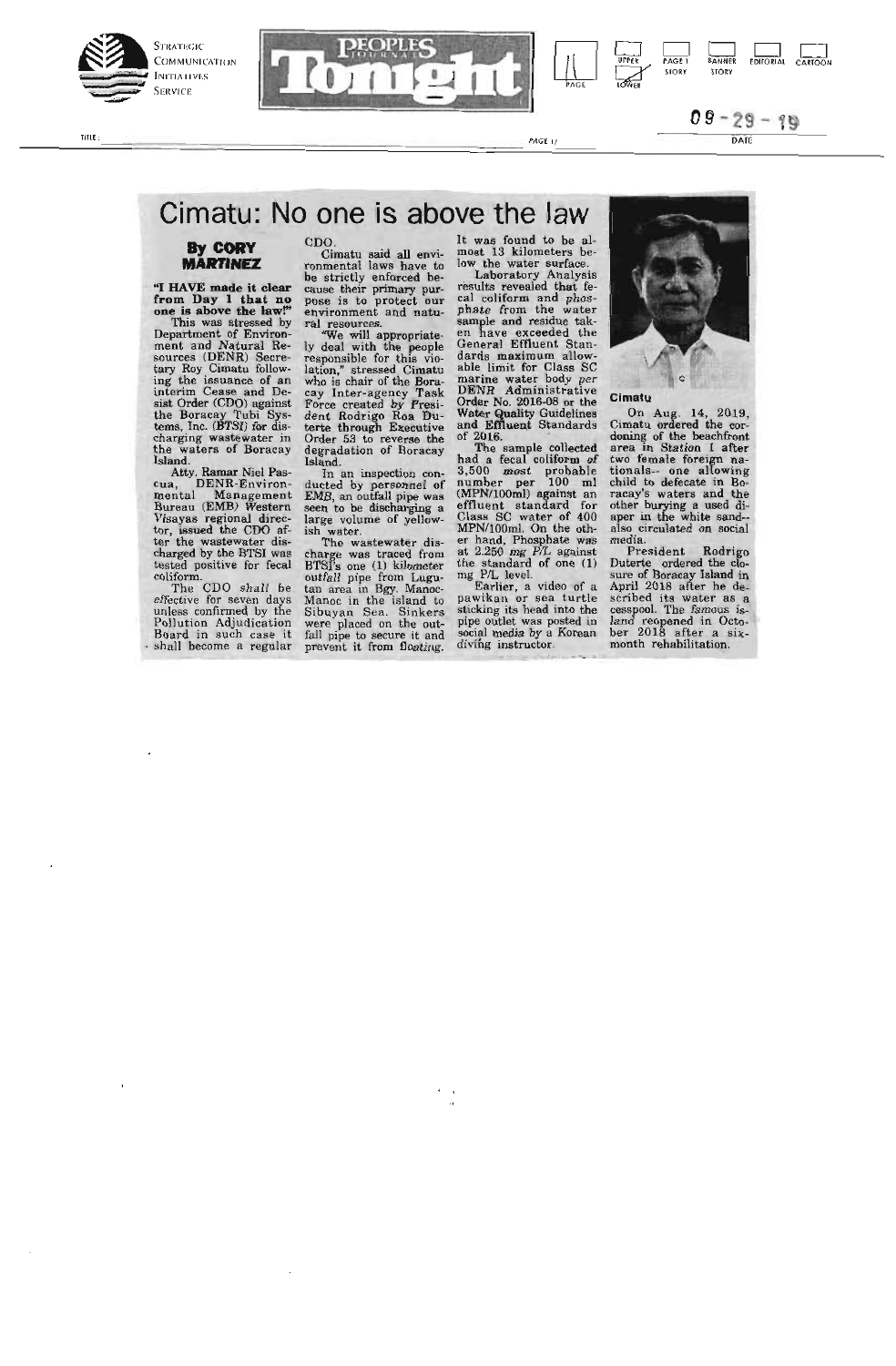



TITLE:

 $\overline{P}$  and  $\overline{P}$  and  $\overline{P}$  and  $\overline{P}$ 

### Cimatu: No one is above the law

#### **By CORY MARTINEZ**

**"I HAVE made it clear from Day 1 that no one is above the law!"** 

This was stressed by<br>Department of Environ-Department of Environment and Natural Resources (DENR) Secretary Roy Cimatu follow-<br>ing the issuance of an interim Cease and Desist Order (CDO) against<br>the Boracay Tubi System and Desist Order (CDO) against<br>tems, Inc. (BTS

cua, DENR-Environ-mental Management Bureau (EMB) 'Western Visayas regional director, issued the COO af-ter the wastewater dis-charged by the BTSI was tested positive for fecal

coliform. The COO shall be effective for seven days unless confirmed by the Pollution Adjudication Board in such case it shall become a regular CDO. Cimatu said all envi-ronmental laws have to be strictly enforced be-cause their primary pur-pose is to protect our environment and natu-

ral resources.<br>
"We will appropriate-<br>
"We will appropriate-<br>
responsible for this violation," stressed Cinatu<br>
who is charged Cinature<br>
cay Inter-agency Task<br>
Force created by Presi-<br>
dent Rodrigo Roa Du-<br>
terte through E Island.

In an inspection con-ducted by personnel of EMB, an outfall pipe was seen to be discharging a large volume of yellow-

ish water. The wastewater dis-charge was traced from BTSI's one (1) kilometer outfall pipe from Lugu-tan area in Bgy. Manoc-Manoc in the island to Sibuyan Sea. Sinkers were placed on the out-fall pipe to secure it and prevent it from floating.

It was found to be al-<br>
most 13 kilometers be-<br>
low the water surface.<br>
Laboratory Analysis<br>
results revealed that fe-<br>
cal coliform and phos-<br>
phate from the water<br>
sample and residue tak-<br>
on have exceeded the en nave exceeded the<br>
General Effluent Stan-<br>
dards maximum allow-<br>
able limit for Class SC<br>
marine water body per<br>
DENR Administrative<br>
Order No. 2016-08 or the<br>
Water Quality Guality<br>
and Effluent Standards of 2016.

or 2016.<br>The sample collected<br>had a fecal coliform of<br>3,500 most probable<br>number per 100 ml<br>(MPN/100ml) against an<br>effluent standard for<br>Class SC water of 400<br>MPN/100ml. On the oth-<br>are hand, Phosphate was<br>the standard of

pipe outlet was posted in social media by a Korean divilig instructor.



#### Cimatu

natu<br>On Aug. 14, 2010 Un Aug. 14, 2019,<br>
Cimatu ordered the cor-<br>
doning of the beachfront<br>
area in Station 1 after<br>
two female foreign na-<br>
tionals-- one allowing<br>
child to defecate in Bo-<br>
racay's waters and the<br>
di-<br>
di-<br>
diother burying a used di-<br>aper in the white sand--<br>also circulated on social also cir<br>media

media. President Rodrigo Duterte ordered the clo-<br>Sure of Boracay Island in<br>April 2018 after he de-<br>scribed its water as a<br>cesspool. The famous is-<br>land reopened in Octo-<br>ber 2018 after a six-<br>president in Sure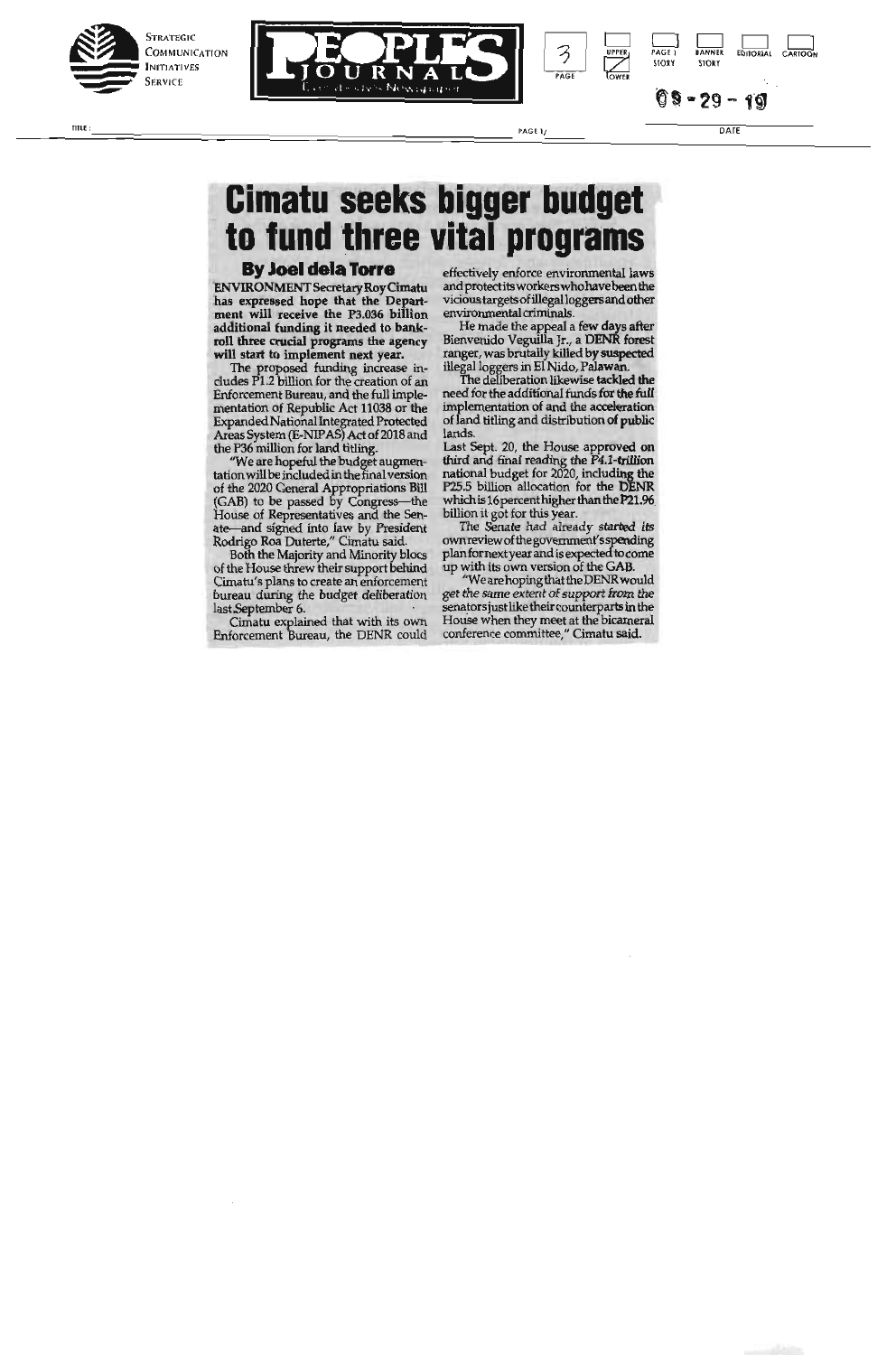





DATE

### **Cimatu seeks bigger budget** to fund three vital programs

### **By Joel dela Torre**

ENVIRONMENT Secretary Roy Cimatu has expressed hope that the Department will receive the P3.036 billion<br>additional funding it needed to bank-Figure 1 and the crucial programs the agency<br>will start to implement next year.<br>The proposed funding increase includes P1.2 billion for the creation of an

Enforcement Bureau, and the full implementation of Republic Act 11038 or the Expanded National Integrated Protected<br>Areas System (E-NIPAS) Act of 2018 and the P36 million for land titling.

"We are hopeful the budget augmentation will be included in the final version of the 2020 General Appropriations Bill<br>(GAB) to be passed by Congress—the<br>House of Representatives and the Senate—and signed into law by President<br>Rodrigo Roa Duterte," Cimatu said.

Both the Majority and Minority blocs of the House threw their support behind Cimatu's plans to create an enforcement bureau during the budget deliberation last.September 6.

Cimatu explained that with its own<br>Enforcement Bureau, the DENR could

effectively enforce environmental laws and protect its workers who have been the vicious targets of illegal loggers and other environmental criminals.

3

 $\overline{PAGI}$ 

PAGE 1/

He made the appeal a few days after<br>Bienvenido Veguilla Jr., a DENR forest Fanger, was brutally killed by suspected<br>illegal loggers in El Nido, Palawan.<br>The deliberation likewise tackled the

need for the additional funds for the full implementation of and the acceleration of land titling and distribution of public lands.

Last Sept. 20, the House approved on<br>third and final reading the P4.1-trillion<br>national budget for 2020, including the<br>P25.5 billion allocation for the DENR which is 16 percent higher than the P21.96

billion it got for this year.<br>The Senate had already started its<br>ownreview of the government's spending plan for next year and is expected to come<br>up with its own version of the GAB.

"We are hoping that the DENR would<br>get the same extent of support from the senators just like their counterparts in the House when they meet at the bicameral conference committee," Cimatu said.

 $\overline{n}$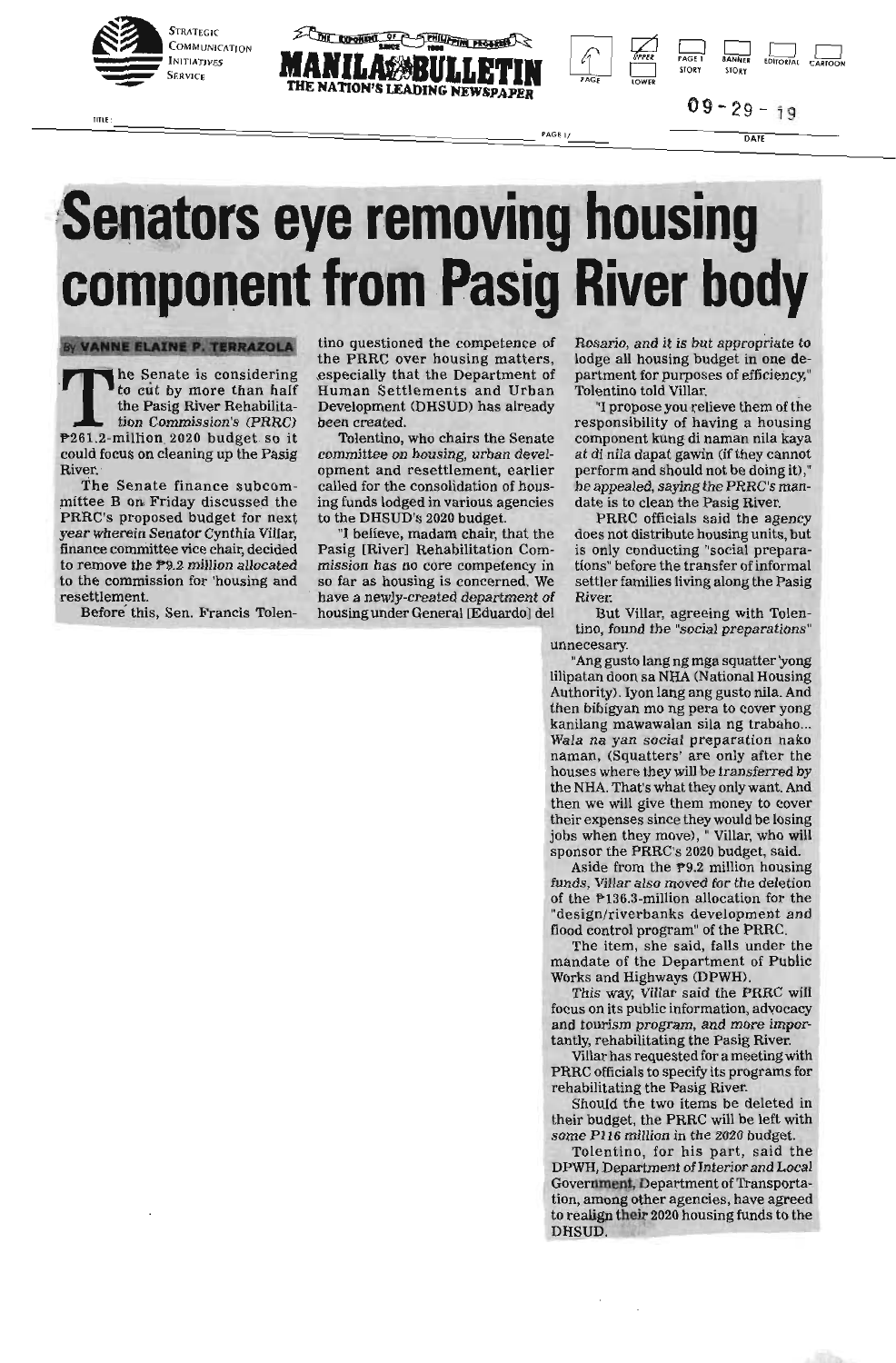

TITLE



 $09 - 29 - 19$ 

 $\sim$ 

 $\sqrt{2}$ PAGE  $\mathbf{C}$ 

PPER

#### PAGE 1/ DATE

BANNER LIGHT LIGHT

# **Senators eye removing housing component from Pasig River body**

By VANNE ELAINE P. TERRAZOLA

**The Senate is considering<br>to cut by more than half<br>the Pasig River Rehabilita-<br>tion Commission's (PRRC)<br>P261.2-million 2020 budget so it<br>could focus on cleaning un the Pasie** to cut by more than half<br>the Pasig River Rehabilitation Commission's (PRRC) tion Commission's (PRRC)<br>
P261.2-million 2020 budget so it<br>
could focus on cleaning up the Pasig 261.2 -million 2020 budget so it could focus on cleaning up the Pasig River.<br>The Senate finance subcom-

mittee B on Friday discussed the PRRC's proposed budget for next year wherein Senator Cynthia Villar, finance committee vice chair, decided to remove the P9.2 million allocated to remove the *P9.2* million allocated<br>to the commission for 'housing and to the commission for 'housing and

resettlement. Before this, Sen. Francis Tolen-

tino questioned the competence of the PRRC over housing matters, especially that the Department of Human Settlements and Urban Development (DHSUD) has already been created.

Tolentino, who chairs the Senate committee on housing, urban development and resettlement, earlier called for the consolidation of housing funds lodged in various agencies to the DHSUD's 2020 budget.

"I believe, madam chair, that the Pasig [River] Rehabilitation Commission has no core competency in so far as housing is concerned. We have a newly-created department of housing under General [Eduardo] del

Rosario, and it is but appropriate to lodge all housing budget in one department for purposes of efficiency," Tolentino told Villar.

"I propose you relieve them of the responsibility of having a housing component kung di naman nila kaya at di nila dapat gawin (if they cannot perform and should not be doing it)," he appealed, saying the PRRC's mandate is to clean the Pasig River.

PRRC officials said the agency does not distribute housing units, but is only conducting "social preparations" before the transfer of informal settler families living along the Pasig River.

But Villar, agreeing with Tolentino, found the "social preparations" unnecesary.

"Ang gusto lang ng mga squatter 'yong lilipatan doon sa NHA (National Housing Authority). Iyon lang ang gusto nila. And then bibigyan mo ng pera to cover yong kanilang mawawalan sila ng trabaho... Wala na yan social preparation nako naman, (Squatters' are only after the houses where they will be transferred by the NHA. That's what they only want. And then we will give them money to cover their expenses since they would be losing jobs when they move), " Villar, who will sponsor the PRRC's 2020 budget, said.

Aside from the P9.2 million housing funds, Villar also moved for the deletion of the P136.3-million allocation for the "design/riverbanks development and flood control program" of the PRRC.

The item, she said, falls under the mandate of the Department of Public Works and Highways (DPWH).

This way, Villar said the PRRC will focus on its public information, advocacy and tourism program, and more importantly, rehabilitating the Pasig River.

Villar has requested for a meeting with PRRC officials to specify its programs for rehabilitating the Pasig River.

Should the two items be deleted in their budget, the PRRC will be left with some P116 million in the 2020 budget.

Tolentino, for his part, said the DPWH, Department of Interior and Local Government, Department of Transportation, among other agencies, have agreed to realign their 2020 housing funds to the DHSUD.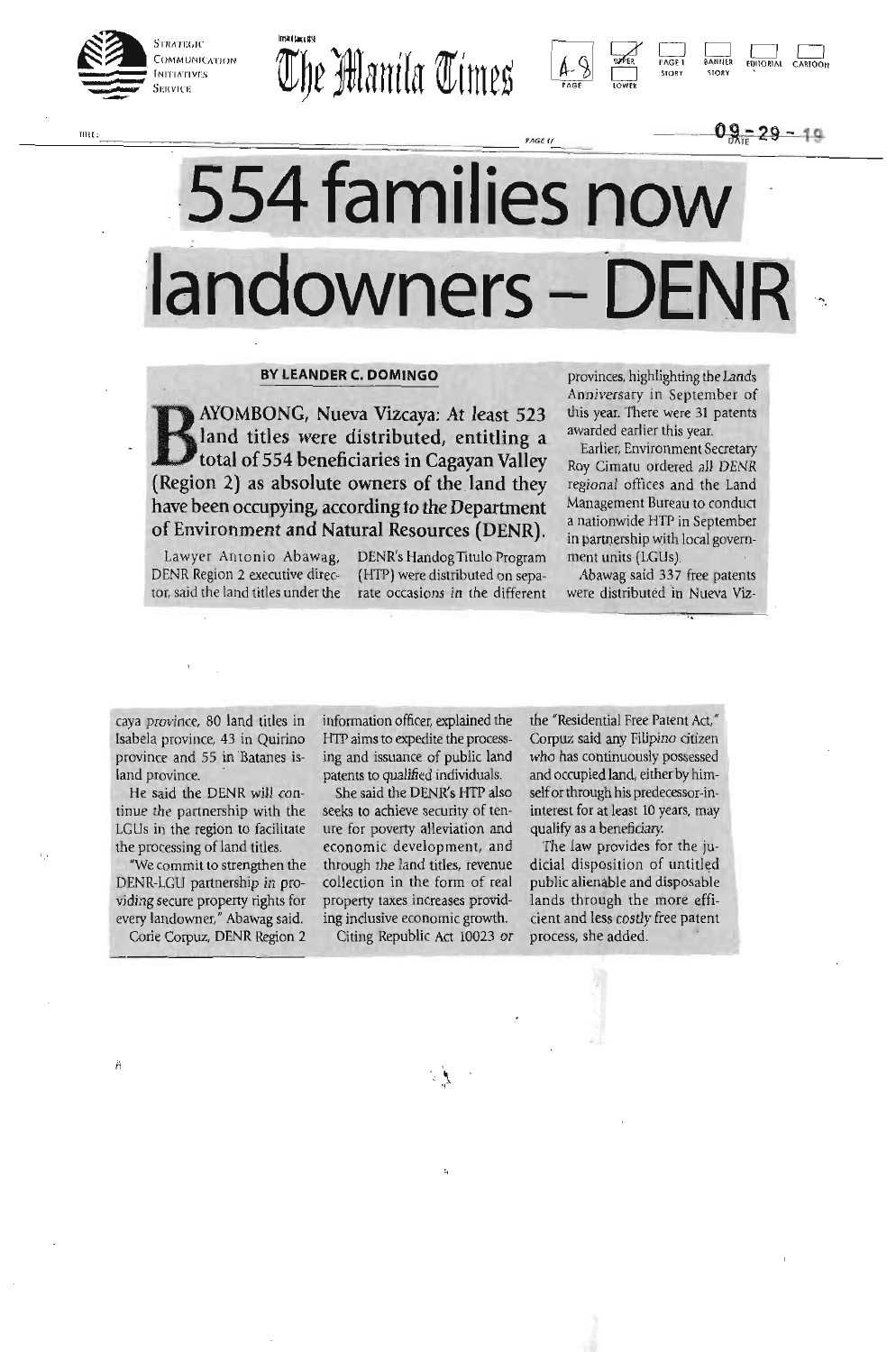

TITLE







# **554 families now**  landowners - DEN

### **BY LEANDER C. DOMINGO**

BAYOMBONG, Nueva Vizcaya: At least 523<br>
land titles were distributed, entitling a<br>
total of 554 beneficiaries in Cagayan Valley<br>
(Region 2) as absolute owners of the land thou land titles were distributed, entitling a total of 554 beneficiaries in Cagayan Valley (Region 2) as absolute owners of the land they have been occupying, according to the Department of Environment and Natural Resources (DENR).

Lawyer Antonio Abawag, DENR's Handog Titulo Program DENR Region 2 executive direc- (HTP) were distributed on sepator, said the land titles under the rate occasions in the different

provinces, highlighting the Lands Anniversary in September of this year. There were 31 patents awarded earlier this year.

 $\frac{0.9 - 29 - 19}{...}$ 

Earlier, Environment Secretary Roy Cimatu ordered all DENR regional offices and the Land Management Bureau to conduct a nationwide HTP in September in partnership with local government units (LGUs).

Abawag said 337 free patents were distributed in Nueva Viz-

caya province, 80 land titles in Isabela province, 43 in Quirino province and 55 in Batanes island province.

He said the DENR will continue the partnership with the LGLIs in the region to facilitate the processing of land titles.

"We commit to strengthen the DENR-LCU partnership in providing secure property rights for every landowner," Abawag said. Corie Corpuz, DENR Region 2

Ä

information officer, explained the HTP aims to expedite the processing and issuance of public land patents to qualified individuals.

She said the DENR's HTP also seeks to achieve security of tenure for poverty alleviation and economic development, and through the land titles, revenue collection in the form of real property taxes increases providing inclusive economic growth.

Citing Republic Act 10023 or

the "Residential Free Patent Act," Corpuz said any Filipino citizen who has continuously possessed and occupied land, either by himself or through his predecessor-ininterest for at least 10 years, may qualify as a beneficiary.

The law provides for the judicial disposition of untitled public alienable and disposable lands through the more efficient and less costly free patent process, she added.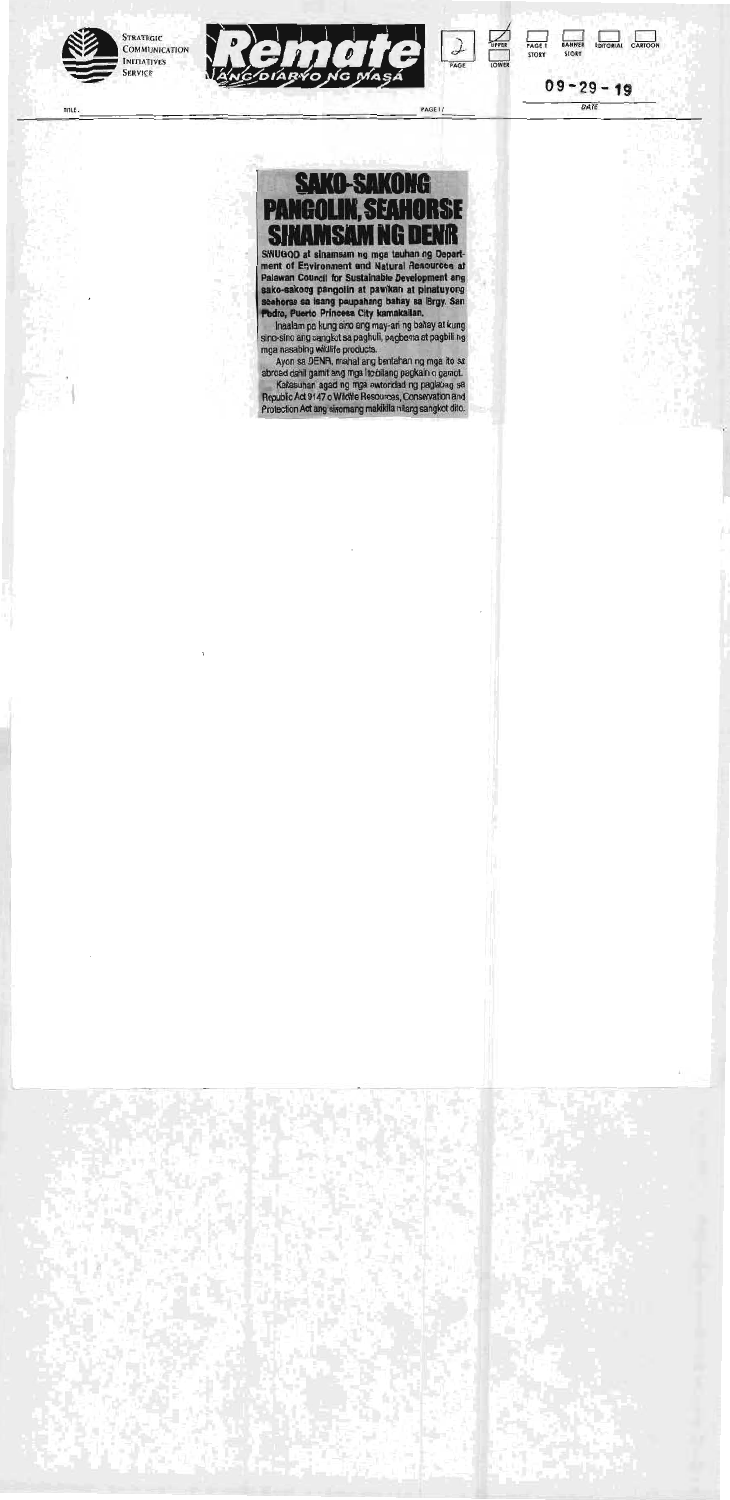PAGE I STORY

STORY

 $09 - 29 - 19$ 

DATE

?PER

### **SAKO-SAKONG PANGOLIN, SEAHORSE SINAMSAM NG DENIR**





TITLE:

Li

BANNER EDITORIAL CARTOON

PAGE If

PAGE

SINUGOD at sinamsam ng mga tauhan ng Depart ment of Environment and Natural Resources at Palawan Council for Sustainable Development any sako-sakong pangolin at pawikan at pinatuyong seahorse sa isang paupahang bahay sa Brgy. San Pedro, Puerto Princesa City kamakailan.

Ayon sa DENR, mahal any bentahan ng mga ito sa abroad dahil gamit any mga ito bilang pagkain o gamot. Kakasuhan agad ng mga awtoridad ng paglabag sa Republic Act 9147 o Wildlife Resources, Conservation and Protection Act ang sinomang makikila nilang sangkot dito.



inaalam pa kung sino ang may-an ng bahay at kung sino-sino ang sangkot sa paghuli, pagbenta at pagbili ng mga nasabing wildlife products.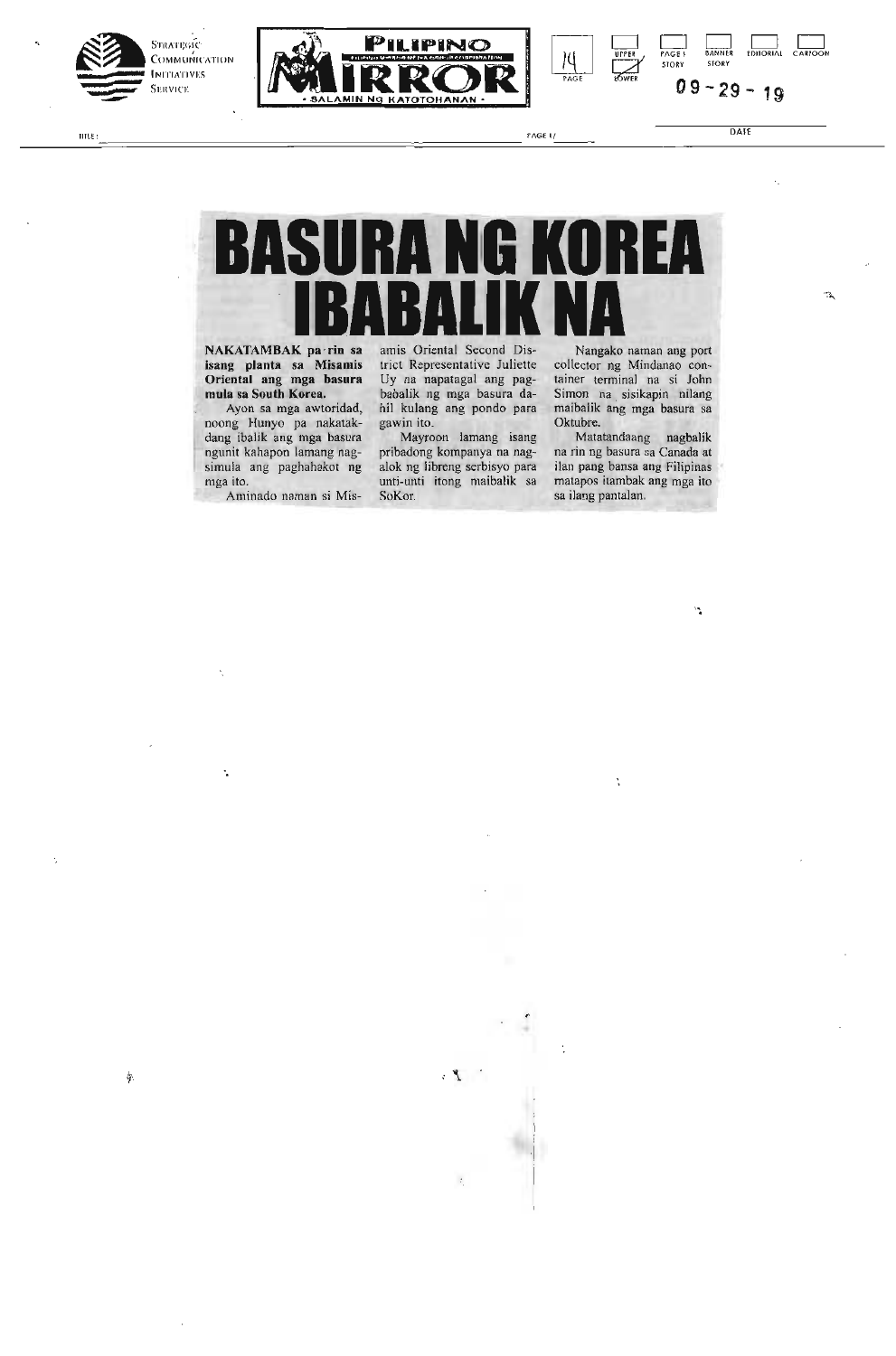



ENGE I/ DATE

÷.

PAGE! **BANNER EDITORIAL**<br>FAGE! BANNER EDITORIAL STORY **09 -29 19** 

# **BASURA NG KOREA IBABALIK NA**

NAKATAMBAK pa *-fm* sa isang planta sa Misamis Oriental ang mga basura mula sa South Korea.

Ayon sa mga awtoridad, noong Hunyo pa nakatakdang ibalik ang mga basura ' ngunit kahapon lamang nagsimula ang paghahakot ng mga ito.

Aminado naman si Mis-

 $\ddot{\phantom{a}}$ 

ģ.

amis Oriental Second District Representative Juliette Uy na napatagal ang pagbabalik ng mga basura dahil kulang ang pondo para gawin ito.

Mayroon lamang isang pribadong kompanya na nagalok ng libreng serbisyo pan unti-unti itong maibalik sa SoKor.

 $\mathbb{Z}$  .

Nangako naman ang port collector ng Mindanao container terminal na si John Simon na sisikapin nilang maibalik ang mga basura sa Oktubre.

UPPER

PAGE WE

Matatandaang nagbalik na rin ng basura sa Canada at ilan pang bansa ang Filipinas matapos itambak ang mga ito sa ilang pantalan.

Ň

۳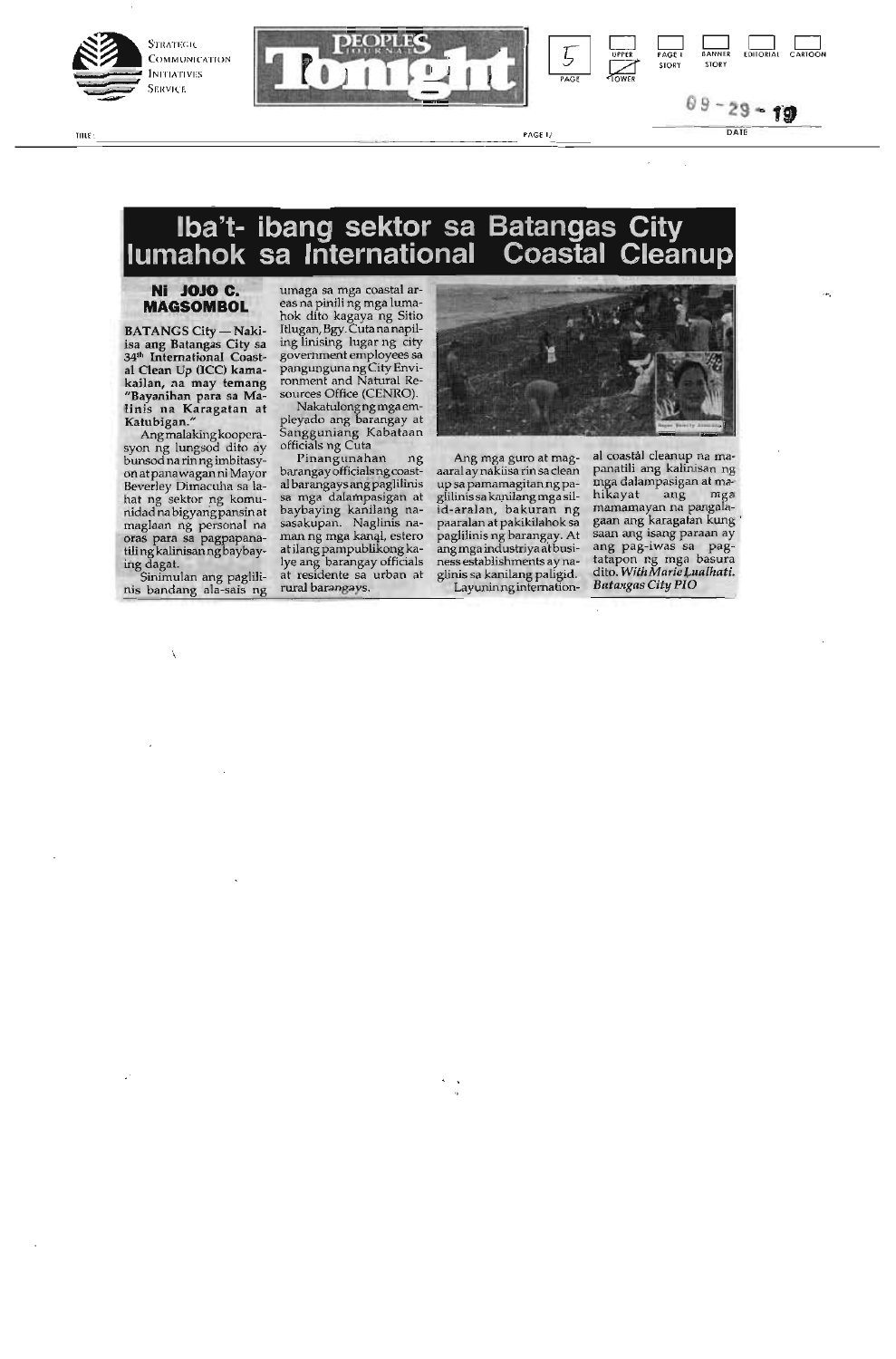



### **lba't- ibang sektor sa Batangas City lumahok sa International Coastal Cleanup**

UWE , PAGE 1/ DATE

### **Ni JOJO C. MAGSOMBOL**

**BATANGS City - Naki**isa ang Batangas City sa 34<sup>th</sup> International Coastal Clean Up (ICC) kamakailan, na may temang "Bayanihan para sa Ma-linis na Karagatan at Katubigan."

Angmalaking kooperasyon ng lungsod dito ay bunsod na rin ng imbitasyon atpanawaganni Mayor Beverley Dimacuha sa lahat ng sektor ng komunidadnabigyangpansin at maglaan ng personal na oras para sa pagpapanatiling kalinisanngbaybaying dagat.

Sinimulan ang paglilinis bandang ala-sais ng umaga sa mga coastal areas na pinili ng mga luma-hok dito kagaya ng Sitio Iflugan,Bgy.Cutananapiling linising lugar ng city government employees sa pangunguna ng City Envirorunent and Natural Resources Office (CENRO).

Nakatulongngmga ernpleyado ang barangay at Sangguniang Kabataan officials ng Cuta

Pinangunahan ng barangay officialsng coastal barangays angpaglilinis sa mga dalampasigan at baybaying kanilang nasasakupan. Naglinis naman ng mga kanal, estero at ilang pampublikong kalye ang barangay officials at residente sa urban at rural barangays.



Ang mga guro at magaaral ay nakiisa rin sa clean up sa pamamagitanng paglilinis sa kanilang mga sil-id-aralan, bakuran ng paaralan at pakikilahok sa paglilinis ng barangay. At angmgaindustriyaatbusiness establishments ay naglinis sa kanilang paligid. Layuninnginternational coastal cleanup na mapanatili ang kalinisan ng mga dalampasigan at ma-hikayat ang mga marnarnayan na pangalagaan ang karagatan kung saan ang isang paraan ay ang pag-iwas sa pagtatapon ng mga basura dito. *With Marie jaalhati. Batangas City PLO*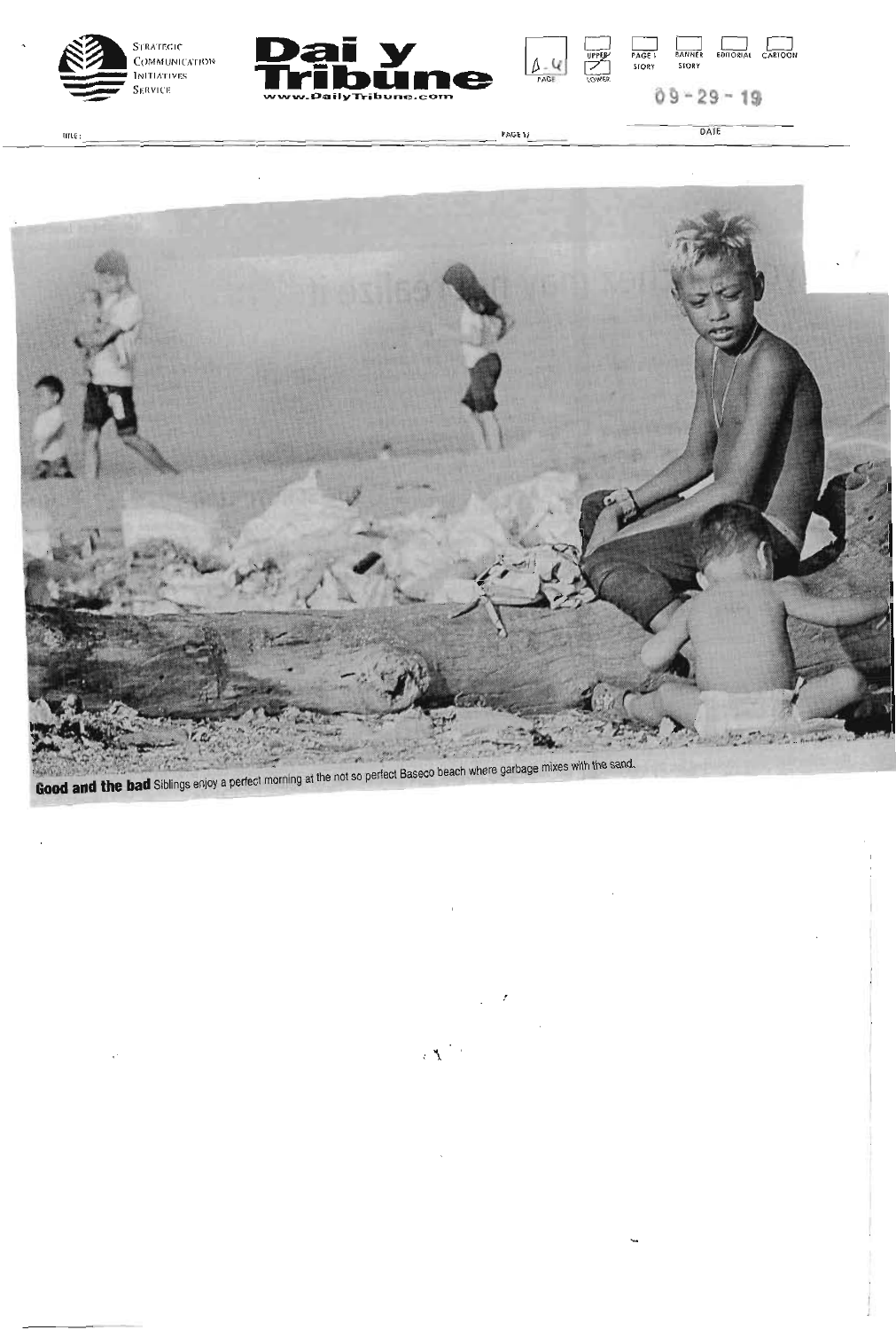





PAGE 1/

DATE

 $f$ IT $f$  $f$  $f$ 



 $\mathcal{L}^{\mathcal{L}}$ 

 $\chi(\mathbf{X})^{(1)}$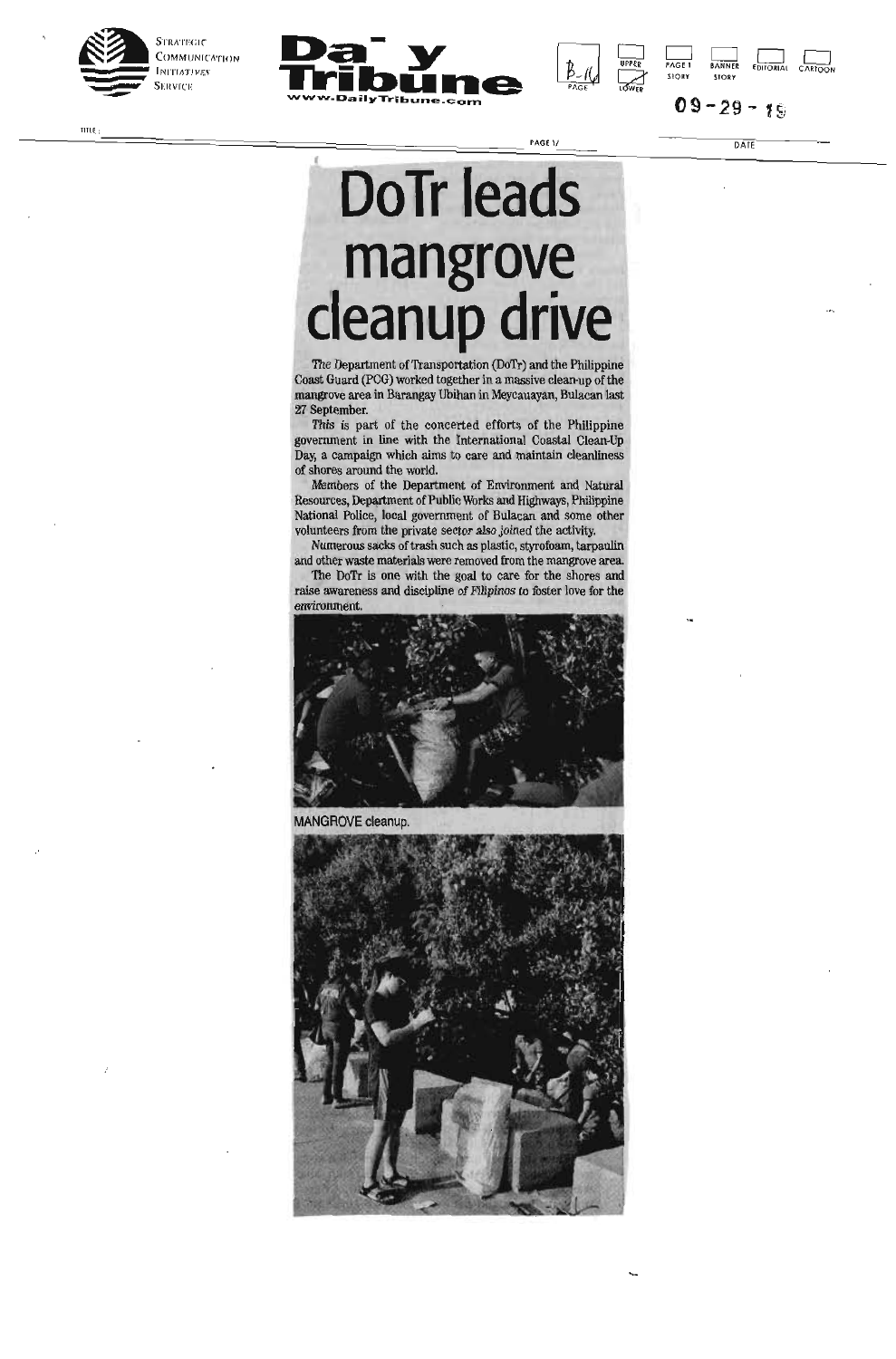



 $09 - 29 - 19$ 

DPP PAGE 1 BANNER EDITORIAL CARTOON PAGET BANNER<br>STORY STORY

TITLE :  $\frac{1}{2}$  and  $\frac{1}{2}$  and  $\frac{1}{2}$  and  $\frac{1}{2}$  and  $\frac{1}{2}$  and  $\frac{1}{2}$  and  $\frac{1}{2}$  and  $\frac{1}{2}$  and  $\frac{1}{2}$  and  $\frac{1}{2}$  and  $\frac{1}{2}$  and  $\frac{1}{2}$  and  $\frac{1}{2}$  and  $\frac{1}{2}$  and  $\frac{1}{2}$  and  $\frac$ 

## **DoTr leads mangrove cleanup drive**

The Department of Transportation (DoTr) and the Philippine Coast Guard (PCG) worked together in a massive clean-up of the mangrove area in Barangay Ubihan in Meycauayan, Bulacan last 27 September.

This is part of the concerted efforts of the Philippine government in line with the International Coastal Clean-Up Day, a campaign which aims to care and maintain cleanliness of shores around the world.

Members of the Department of Environment and Natural Resources, Department of Public Works and Highways, Philippine National Police, local government of Bulacan and some other volunteers from the private sector also joined the activity

Numerous sacks of trash such as plastic, styrofoam, tarpaulin and other waste materials were removed from the mangrove area.

The DoTr is one with the goal to care for the shores and raise awareness and discipline of Filipinos to foster love for the environment.



MANGROVE cleanup.

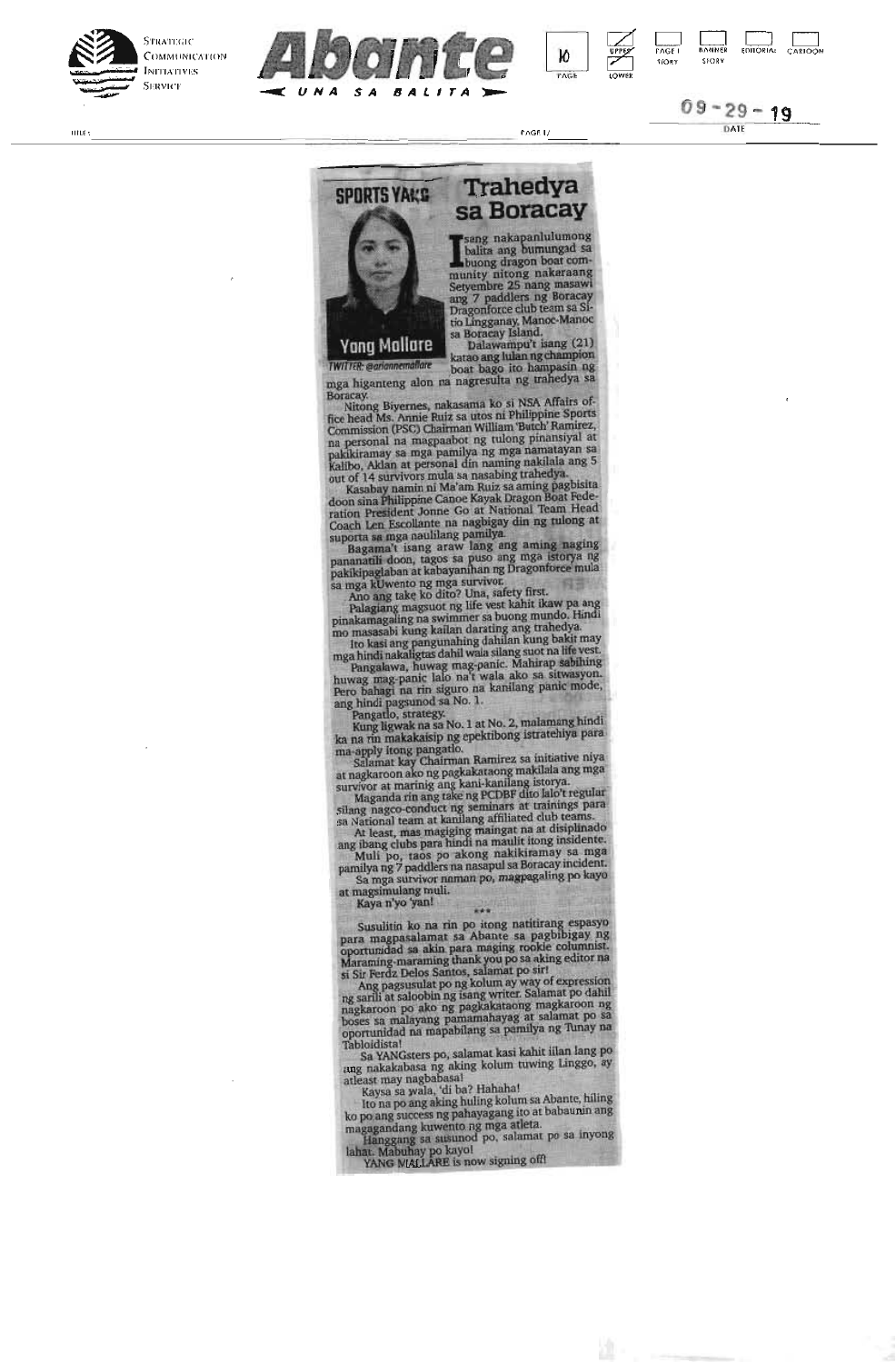







**I** sang nakapanlulumong<br>balita ang bumungad sa<br>buong dragon boat com-<br>Setyembre 25 nang masawi<br>ang 7 paddlers ng Boracay<br>Dragonforce club team sa Sisang nakapanlulumong balita ang bumungad sa buong dragon boat comtio Lingganay, Manoc-Manoc sa Boracay Island. Dalawampu't isang (21)

katao ang lulan ng champion *TWITTER: wanannemoRare* boat bago ito hampasin ng

mga higanteng alon na nagresulta ng trahedya sa

Boracay. Nitong Biyemes, nakasama ko si NSA Affairs office head Ms. Annie Ruiz sa utos ni Philippine Sports Commission (PSC) Chairman William 'Butch Ramirez, na personal na magpaabot ng tulong pinansiyal at pakikiramay sa mga pamilya rig mga namatayan sa Kalibo, Aldan at personal din naming nakilala ang 5 out of 14 survivors mula sa nasabing trahedya.<br>Kasabay namin ni Ma'am Ruiz sa aming pagbisita

doon sina Philippine Canoe Kayak Dragon Boat Fede-ration President Jonne Go at National Team Head Coach Len Escollante na nagbigay din ng tulong at

suporta sa mga naulilang pamilya.<br>Bagama't isang araw lang ang aming naging pananatili doon, tagos sa puso ang mga istorya rig pakikipaglaban at kabayanihan tag Dragonforce mula sa mga kUwento ng mga survivor.<br>Ano ang take ko dito? Una, safety first.<br>Palagiang magsuot ng life vest kahit ikaw pa ang

pinalcamagaling na swimmer sa buong mundo. Hindi

mo masasabi kung kailan darating ang trahedya.<br>Ito kasi ang pangunahing dahilan kung bakit may<br>mga hindi nakaligtas dahil wala silang suot na life vest.<br>Pangalawa, huwag mag-panic. Mahirap sabihing<br>huwag mag-panic lalo na' ang hindi pagsunod sa No. 1.

Pangado, strategy. Kung ligwak na sa No. 1 at No. 2, malamang hindi ka na tin makakaisip ng epektibong istratehiya para

ma-apply itong pangatlo.<br>Salamat kay Chairman Ramirez sa initiative niya at nagkaroon ako ng pagkakataong makilala ang mga survivor at marinig ang kani-kanilang istorya.<br>Maganda rin ang take ng PCDBF dito lalo't regular

silang nagco-conduct ng seminars at trainings para<br>sa National team at kanilang affiliated club teams.<br>At least, mas magiging maingat na at disiplinado<br>ang ibang clubs para hindi na maulit itong insidente.<br>Muli po, taos po

pamilya ng 7 paddlers na nasapul sa Boracay incident. Sa mga survivor naman po, rnagpagaling po kayo

at magsimulang muli. Kaya n'yo 'yan!

Susulitin ko na tin po 'tong natitirang espasyo para magpasalamat sa Abante sa pagbibigay ng oportunidad sa akin para maging rookie columnist. Maraming-maraming thank you po sa aking editor na

si Sir Ferdz Delos Santos, salamat po sir! Ang pagsusulat po ng kolum ay way of expression rig sarili at saloobin ng isang writer. Salamat po dahil nagkaroon po alto rig pagkakataong magkaroon rig bases sa malayang parnamahayag at salamat po sa oportunidad an mapabilang sa pamilya ng Tunay na

Tabloidista!<br> Sa YANGsters po, salamat kasi kahit iilan lang po ang nakakabasa ng aking kolum tuwing Linggo, ay

atleast may nagbabasa! Kaysa sa wala, 'di ba? Hahahal Ito na po ang aking hiding kolum sa Abante, tilling ko pa ang success ng pahayagang ito at babaunin ang

ma gagandang kuwento ng mga atleta. Hanggang sa susunod po, salamat po sa inyong lahat. Mabuhay po kayo! YANG MALLARE is now signing off!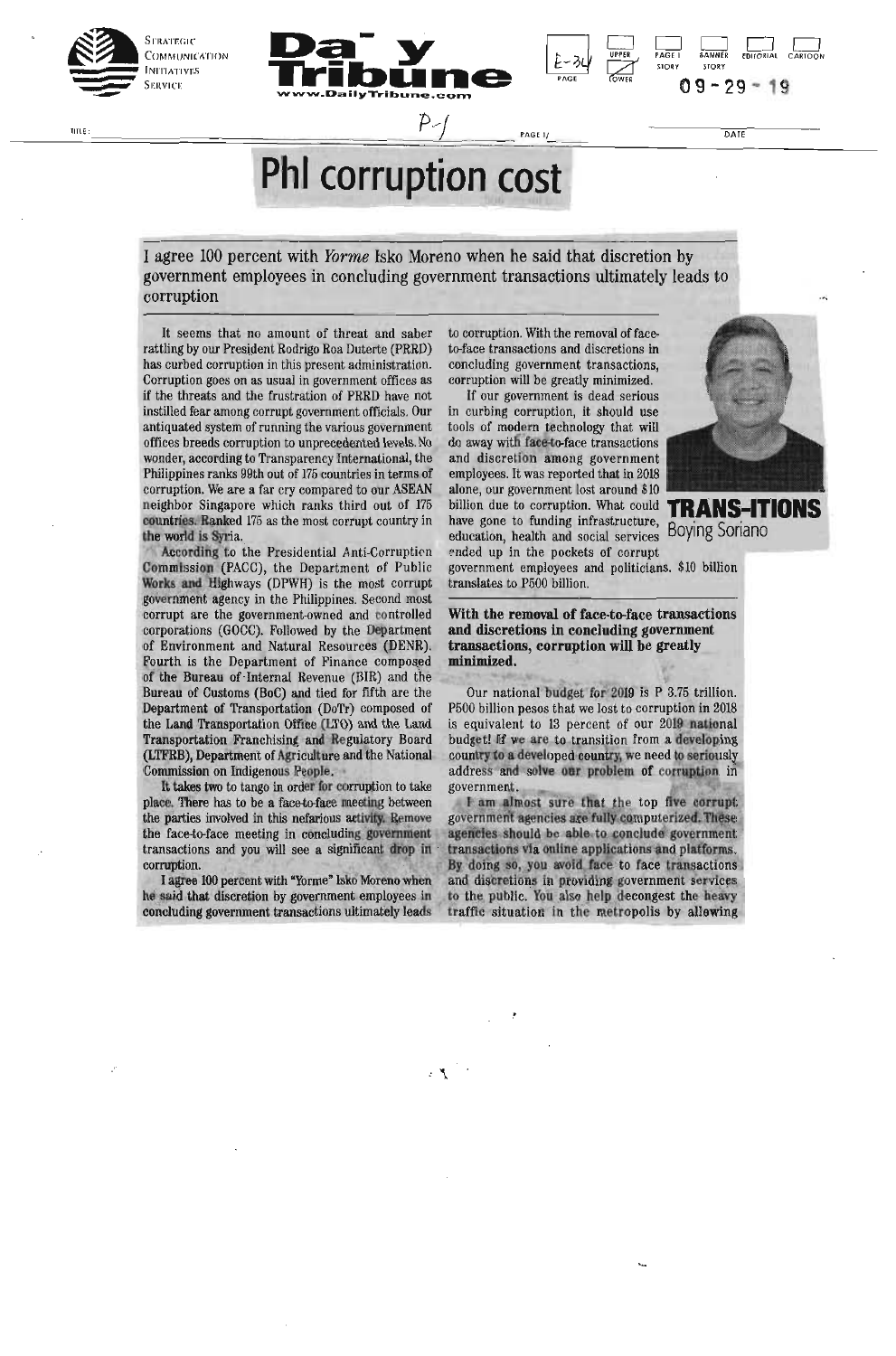

TITLE.





 $\overline{DATE}$ 

**PhI** corruption cost

Ď,

I agree 100 percent with *Yorme* Isko Moreno when he said that discretion by government employees in concluding government transactions ultimately leads to corruption

It seems that no amount of threat and saber rattling by our President Rodrigo Roa Duterte (PRRD) has curbed corruption in this present administration. Corruption goes on as usual in government offices as if the threats and the frustration of PRRD have not instilled fear among corrupt government officials. Our antiquated system of running the various government offices breeds corruption to unprecedented levels. No wonder, according to Transparency International, the Philippines ranks 99th out of 175 countries in terms of corruption. We are a far cry compared to our ASEAN neighbor Singapore which ranks third out of 175 countries. Ranked 175 as the most corrupt country in the world is Syria.

According to the Presidential Anti-Corruption Commission (PACC), the Department of Public Works and Highways (DPWH) is the most corrupt government agency in the Philippines. Second most corrupt are the government-owned and controlled corporations (GOCC). Followed by the Department of Environment and Natural Resources (DENR). Fourth is the Department of Finance composed of the Bureau of Internal Revenue (BIR) and the Bureau of Customs (BoC) and tied for fifth are the Department of Transportation (DoTr) composed of the Land Transportation Office (LTO) and the Land<br>Transportation Franchising and Regulatory Board (LTFRB), Department of Agriculture and the National Commission on Indigenous People.

It takes two to tango in order for corruption to take place. There has to be a face-to-face meeting between the parties involved in this nefarious activity. Remove the face-to-face meeting in concluding government transactions and you will see a significant drop in corruption.

I agree 100 percent with "Yorme" Isko Moreno when he said that discretion by government employees in concluding government transactions ultimately leads to corruption. With the removal of faceto-face transactions and discretions in concluding government transactions, corruption will be greatly minimized.

PAGE 1/

If our government is dead serious in curbing corruption, it should use tools of modern technology that will do away with face-to-face transactions and discretion among government employees. It was reported that in 2018 alone, our government lost around \$10 billion due to corruption. What could have gone to funding infrastructure, education, health and social services ended up in the pockets of corrupt



TRANS-ITONS **Boying Soriano** 

government employees and politicians. \$10 billion translates to P500 billion.

With the removal of face-to-face transactions and discretions in concluding government transactions, corruption will be greatly minimized.

Our national budget for 2019 is P 3.75 trillion. P500 billion pesos that we lost to corruption in 2018 is equivalent to 13 percent of our 2019 national budget! If we are to transition from a developing country to a developed country, we need to seriously address and solve our problem of corruption in government.

I am almost sure that the top five corrupt government agencies are fully computerized. These agencies should be able to conclude government transactions via online applications and platforms. By doing so, you avoid face to face transactions and discretions in providing government services to the public. You also help decongest the heavy traffic situation in the metropolis by allewing